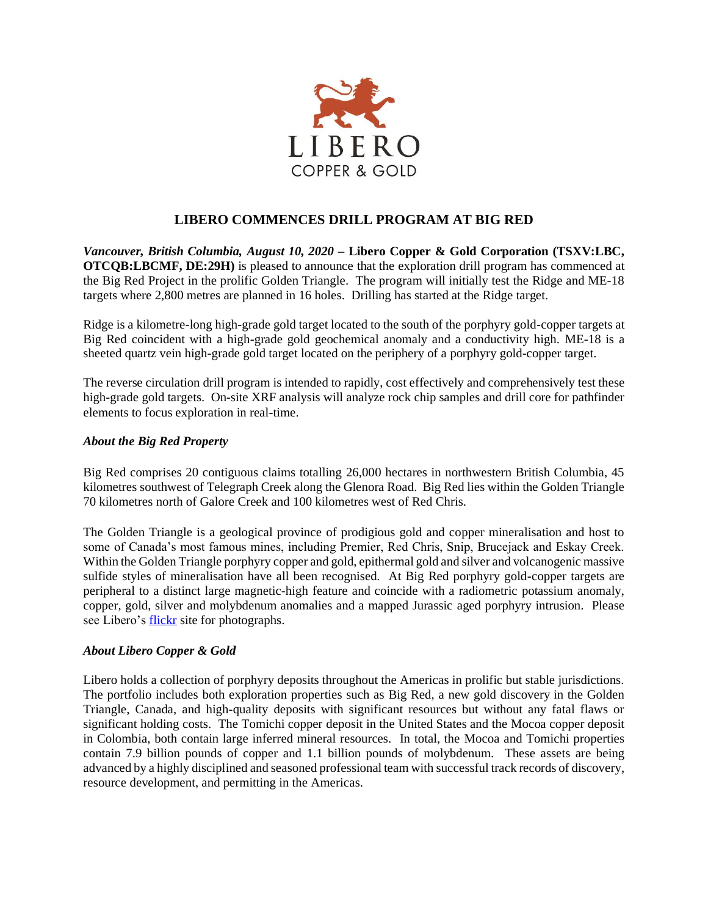

## **LIBERO COMMENCES DRILL PROGRAM AT BIG RED**

*Vancouver, British Columbia, August 10, 2020* **– Libero Copper & Gold Corporation (TSXV:LBC, OTCQB:LBCMF, DE:29H)** is pleased to announce that the exploration drill program has commenced at the Big Red Project in the prolific Golden Triangle. The program will initially test the Ridge and ME-18 targets where 2,800 metres are planned in 16 holes. Drilling has started at the Ridge target.

Ridge is a kilometre-long high-grade gold target located to the south of the porphyry gold-copper targets at Big Red coincident with a high-grade gold geochemical anomaly and a conductivity high. ME-18 is a sheeted quartz vein high-grade gold target located on the periphery of a porphyry gold-copper target.

The reverse circulation drill program is intended to rapidly, cost effectively and comprehensively test these high-grade gold targets. On-site XRF analysis will analyze rock chip samples and drill core for pathfinder elements to focus exploration in real-time.

## *About the Big Red Property*

Big Red comprises 20 contiguous claims totalling 26,000 hectares in northwestern British Columbia, 45 kilometres southwest of Telegraph Creek along the Glenora Road. Big Red lies within the Golden Triangle 70 kilometres north of Galore Creek and 100 kilometres west of Red Chris.

The Golden Triangle is a geological province of prodigious gold and copper mineralisation and host to some of Canada's most famous mines, including Premier, Red Chris, Snip, Brucejack and Eskay Creek. Within the Golden Triangle porphyry copper and gold, epithermal gold and silver and volcanogenic massive sulfide styles of mineralisation have all been recognised. At Big Red porphyry gold-copper targets are peripheral to a distinct large magnetic-high feature and coincide with a radiometric potassium anomaly, copper, gold, silver and molybdenum anomalies and a mapped Jurassic aged porphyry intrusion. Please see Libero's [flickr](https://www.flickr.com/photos/150654141@N07/albums) site for photographs.

## *About Libero Copper & Gold*

Libero holds a collection of porphyry deposits throughout the Americas in prolific but stable jurisdictions. The portfolio includes both exploration properties such as Big Red, a new gold discovery in the Golden Triangle, Canada, and high-quality deposits with significant resources but without any fatal flaws or significant holding costs. The Tomichi copper deposit in the United States and the Mocoa copper deposit in Colombia, both contain large inferred mineral resources. In total, the Mocoa and Tomichi properties contain 7.9 billion pounds of copper and 1.1 billion pounds of molybdenum. These assets are being advanced by a highly disciplined and seasoned professional team with successful track records of discovery, resource development, and permitting in the Americas.